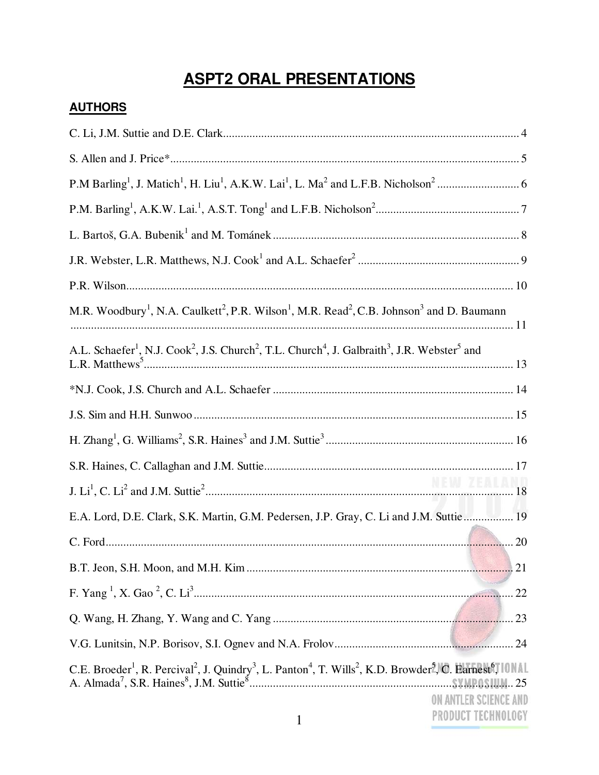# **ASPT2 ORAL PRESENTATIONS**

### **AUTHORS**

| M.R. Woodbury <sup>1</sup> , N.A. Caulkett <sup>2</sup> , P.R. Wilson <sup>1</sup> , M.R. Read <sup>2</sup> , C.B. Johnson <sup>3</sup> and D. Baumann                                        |
|-----------------------------------------------------------------------------------------------------------------------------------------------------------------------------------------------|
| A.L. Schaefer <sup>1</sup> , N.J. Cook <sup>2</sup> , J.S. Church <sup>2</sup> , T.L. Church <sup>4</sup> , J. Galbraith <sup>3</sup> , J.R. Webster <sup>5</sup> and                         |
|                                                                                                                                                                                               |
|                                                                                                                                                                                               |
|                                                                                                                                                                                               |
|                                                                                                                                                                                               |
|                                                                                                                                                                                               |
| E.A. Lord, D.E. Clark, S.K. Martin, G.M. Pedersen, J.P. Gray, C. Li and J.M. Suttie  19                                                                                                       |
|                                                                                                                                                                                               |
|                                                                                                                                                                                               |
|                                                                                                                                                                                               |
|                                                                                                                                                                                               |
|                                                                                                                                                                                               |
| C.E. Broeder <sup>1</sup> , R. Percival <sup>2</sup> , J. Quindry <sup>3</sup> , L. Panton <sup>4</sup> , T. Wills <sup>2</sup> , K.D. Browder <sup>5</sup> , C. Earnest <sup>6</sup> , IONAL |
| ON ANTLER SCIENCE AND                                                                                                                                                                         |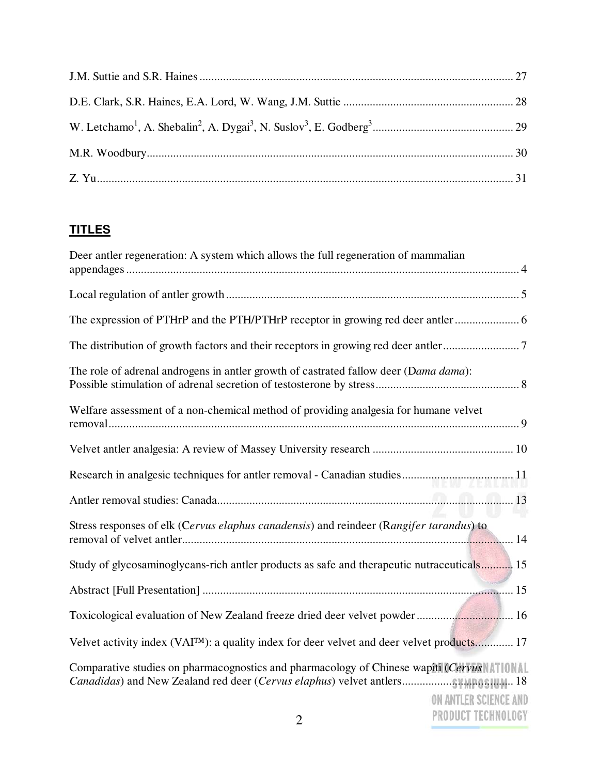# **TITLES**

| Deer antler regeneration: A system which allows the full regeneration of mammalian                                                                                    |
|-----------------------------------------------------------------------------------------------------------------------------------------------------------------------|
|                                                                                                                                                                       |
| The expression of PTHrP and the PTH/PTHrP receptor in growing red deer antler                                                                                         |
| The distribution of growth factors and their receptors in growing red deer antler7                                                                                    |
| The role of adrenal androgens in antler growth of castrated fallow deer (Dama dama):                                                                                  |
| Welfare assessment of a non-chemical method of providing analgesia for humane velvet                                                                                  |
|                                                                                                                                                                       |
| Research in analgesic techniques for antler removal - Canadian studies 11                                                                                             |
|                                                                                                                                                                       |
| Stress responses of elk (Cervus elaphus canadensis) and reindeer (Rangifer tarandus) to                                                                               |
| Study of glycosaminoglycans-rich antler products as safe and therapeutic nutraceuticals 15                                                                            |
|                                                                                                                                                                       |
| Toxicological evaluation of New Zealand freeze dried deer velvet powder 16                                                                                            |
| Velvet activity index (VAI <sup>TM</sup> ): a quality index for deer velvet and deer velvet products 17                                                               |
| Comparative studies on pharmacognostics and pharmacology of Chinese wapiti (Cervus                  <br>ON ANTLER SCIENCE AND<br>PRODUCT TECHNOLOGY<br>$\overline{2}$ |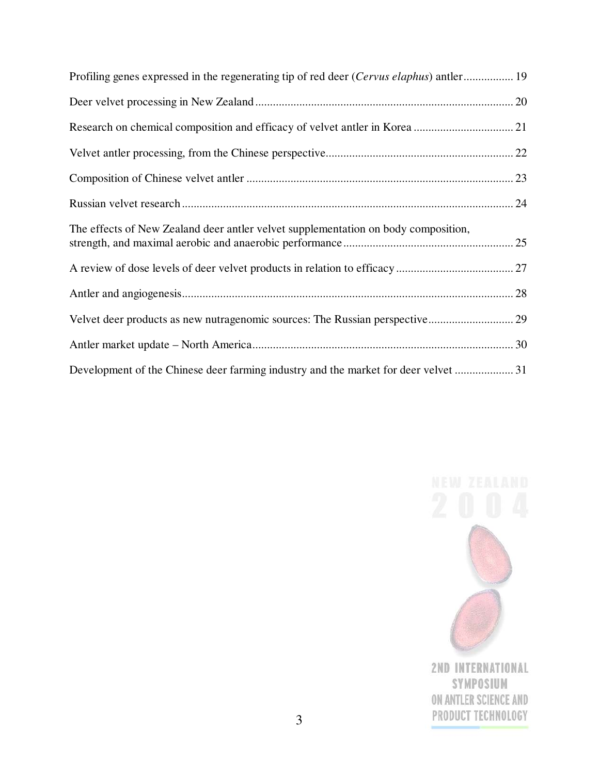| Profiling genes expressed in the regenerating tip of red deer (Cervus elaphus) antler 19 |
|------------------------------------------------------------------------------------------|
|                                                                                          |
|                                                                                          |
|                                                                                          |
|                                                                                          |
|                                                                                          |
| The effects of New Zealand deer antler velvet supplementation on body composition,       |
|                                                                                          |
|                                                                                          |
| Velvet deer products as new nutragenomic sources: The Russian perspective 29             |
|                                                                                          |
| Development of the Chinese deer farming industry and the market for deer velvet 31       |

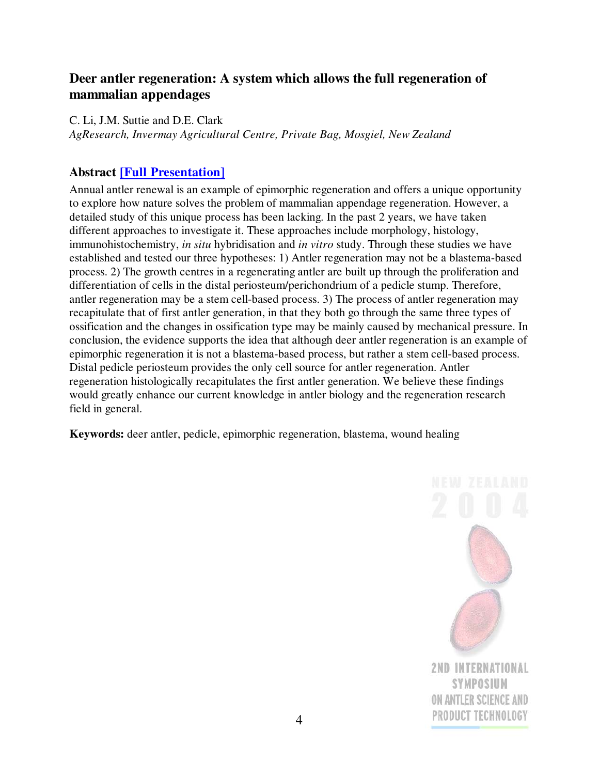### <span id="page-3-0"></span>**Deer antler regeneration: A system which allows the full regeneration of mammalian appendages**

C. Li, J.M. Suttie and D.E. Clark *AgResearch, Invermay Agricultural Centre, Private Bag, Mosgiel, New Zealand*

# **Abstract [Full [Presentation\]](Feb-25 Wednesday/Session 1 (am)/Li Chunyi.pdf)**

Annual antler renewal is an example of epimorphic regeneration and offers a unique opportunity to explore how nature solves the problem of mammalian appendage regeneration. However, a detailed study of this unique process has been lacking. In the past 2 years, we have taken different approaches to investigate it. These approaches include morphology, histology, immunohistochemistry, *in situ* hybridisation and *in vitro* study. Through these studies we have established and tested our three hypotheses: 1) Antler regeneration may not be a blastema-based process. 2) The growth centres in a regenerating antler are built up through the proliferation and differentiation of cells in the distal periosteum/perichondrium of a pedicle stump. Therefore, antler regeneration may be a stem cell-based process. 3) The process of antler regeneration may recapitulate that of first antler generation, in that they both go through the same three types of ossification and the changes in ossification type may be mainly caused by mechanical pressure. In conclusion, the evidence supports the idea that although deer antler regeneration is an example of epimorphic regeneration it is not a blastema-based process, but rather a stem cell-based process. Distal pedicle periosteum provides the only cell source for antler regeneration. Antler regeneration histologically recapitulates the first antler generation. We believe these findings would greatly enhance our current knowledge in antler biology and the regeneration research field in general.

**Keywords:** deer antler, pedicle, epimorphic regeneration, blastema, wound healing

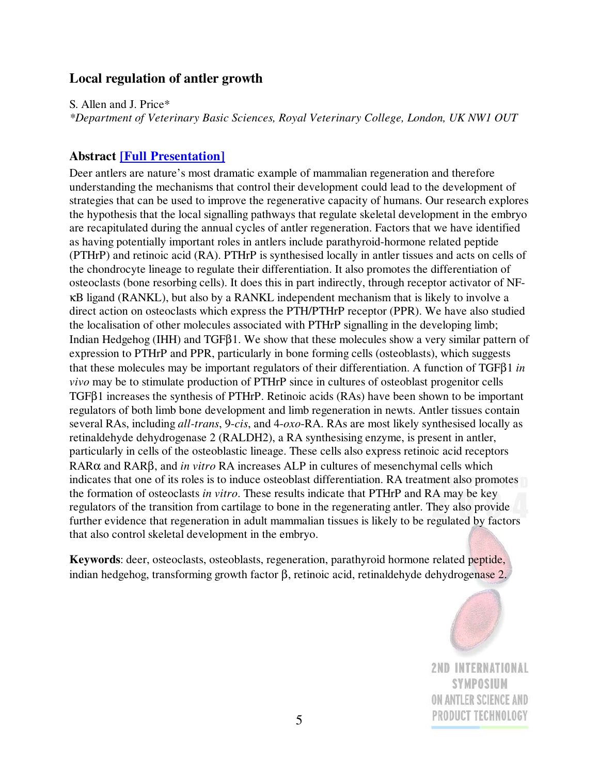#### <span id="page-4-0"></span>**Local regulation of antler growth**

S. Allen and J. Price\*

*\*Department of Veterinary Basic Sciences, Royal Veterinary College, London, UK NW1 OUT*

### **Abstract [Full [Presentation\]](Feb-25 Wednesday/Session 2 (am)/Price.pdf)**

Deer antlers are nature's most dramatic example of mammalian regeneration and therefore understanding the mechanisms that control their development could lead to the development of strategies that can be used to improve the regenerative capacity of humans. Our research explores the hypothesis that the local signalling pathways that regulate skeletal development in the embryo are recapitulated during the annual cycles of antler regeneration. Factors that we have identified as having potentially important roles in antlers include parathyroid-hormone related peptide (PTHrP) and retinoic acid (RA). PTHrP is synthesised locally in antler tissues and acts on cells of the chondrocyte lineage to regulate their differentiation. It also promotes the differentiation of osteoclasts (bone resorbing cells). It does this in part indirectly, through receptor activator of NFκB ligand (RANKL), but also by a RANKL independent mechanism that is likely to involve a direct action on osteoclasts which express the PTH/PTHrP receptor (PPR). We have also studied the localisation of other molecules associated with PTHrP signalling in the developing limb; Indian Hedgehog (IHH) and TGFβ1. We show that these molecules show a very similar pattern of expression to PTHrP and PPR, particularly in bone forming cells (osteoblasts), which suggests that these molecules may be important regulators of their differentiation. A function of TGFβ1 *in vivo* may be to stimulate production of PTHrP since in cultures of osteoblast progenitor cells TGFβ1 increases the synthesis of PTHrP. Retinoic acids (RAs) have been shown to be important regulators of both limb bone development and limb regeneration in newts. Antler tissues contain several RAs, including *all-trans*, 9-*cis*, and 4-*oxo*-RA. RAs are most likely synthesised locally as retinaldehyde dehydrogenase 2 (RALDH2), a RA synthesising enzyme, is present in antler, particularly in cells of the osteoblastic lineage. These cells also express retinoic acid receptors RARα and RARβ, and *in vitro* RA increases ALP in cultures of mesenchymal cells which indicates that one of its roles is to induce osteoblast differentiation. RA treatment also promotes the formation of osteoclasts *in vitro*. These results indicate that PTHrP and RA may be key regulators of the transition from cartilage to bone in the regenerating antler. They also provide further evidence that regeneration in adult mammalian tissues is likely to be regulated by factors that also control skeletal development in the embryo.

**Keywords**: deer, osteoclasts, osteoblasts, regeneration, parathyroid hormone related peptide, indian hedgehog, transforming growth factor β, retinoic acid, retinaldehyde dehydrogenase 2.

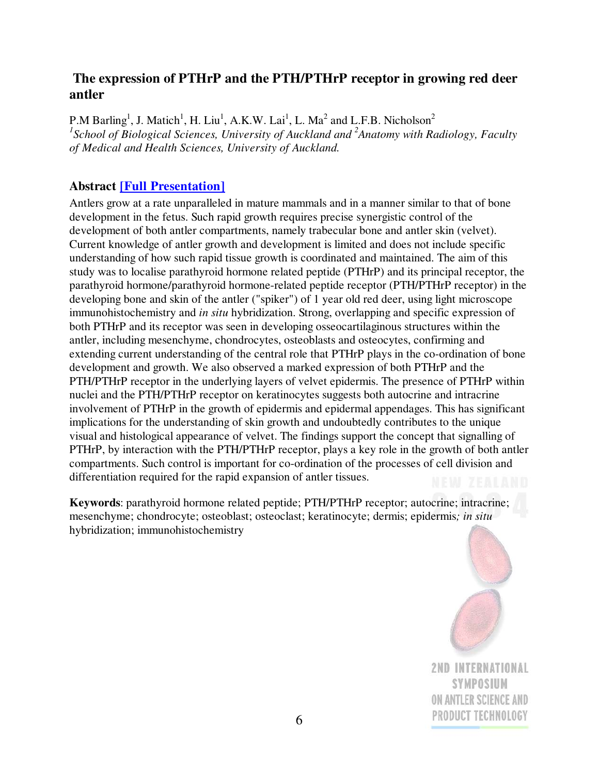### <span id="page-5-0"></span>**The expression of PTHrP and the PTH/PTHrP receptor in growing red deer antler**

P.M Barling<sup>1</sup>, J. Matich<sup>1</sup>, H. Liu<sup>1</sup>, A.K.W. Lai<sup>1</sup>, L. Ma<sup>2</sup> and L.F.B. Nicholson<sup>2</sup> *1 School of Biological Sciences, University of Auckland and <sup>2</sup>Anatomy with Radiology, Faculty of Medical and Health Sciences, University of Auckland.*

### **Abstract [Full [Presentation\]](Feb-25 Wednesday/Session 2 (am)/Barling - Talk 1.pdf)**

Antlers grow at a rate unparalleled in mature mammals and in a manner similar to that of bone development in the fetus. Such rapid growth requires precise synergistic control of the development of both antler compartments, namely trabecular bone and antler skin (velvet). Current knowledge of antler growth and development is limited and does not include specific understanding of how such rapid tissue growth is coordinated and maintained. The aim of this study was to localise parathyroid hormone related peptide (PTHrP) and its principal receptor, the parathyroid hormone/parathyroid hormone-related peptide receptor (PTH/PTHrP receptor) in the developing bone and skin of the antler ("spiker") of 1 year old red deer, using light microscope immunohistochemistry and *in situ* hybridization. Strong, overlapping and specific expression of both PTHrP and its receptor was seen in developing osseocartilaginous structures within the antler, including mesenchyme, chondrocytes, osteoblasts and osteocytes, confirming and extending current understanding of the central role that PTHrP plays in the co-ordination of bone development and growth. We also observed a marked expression of both PTHrP and the PTH/PTHrP receptor in the underlying layers of velvet epidermis. The presence of PTHrP within nuclei and the PTH/PTHrP receptor on keratinocytes suggests both autocrine and intracrine involvement of PTHrP in the growth of epidermis and epidermal appendages. This has significant implications for the understanding of skin growth and undoubtedly contributes to the unique visual and histological appearance of velvet. The findings support the concept that signalling of PTHrP, by interaction with the PTH/PTHrP receptor, plays a key role in the growth of both antler compartments. Such control is important for co-ordination of the processes of cell division and differentiation required for the rapid expansion of antler tissues.

**Keywords**: parathyroid hormone related peptide; PTH/PTHrP receptor; autocrine; intracrine; mesenchyme; chondrocyte; osteoblast; osteoclast; keratinocyte; dermis; epidermis*; in situ* hybridization; immunohistochemistry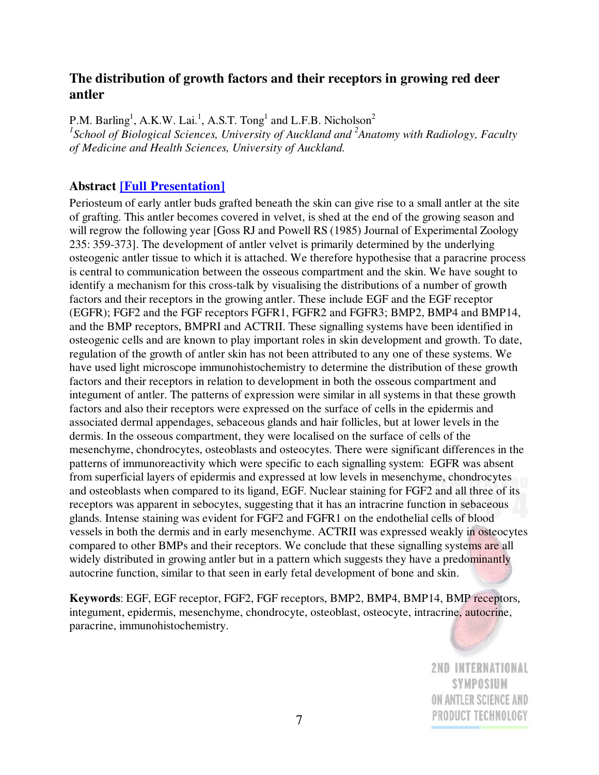### <span id="page-6-0"></span>**The distribution of growth factors and their receptors in growing red deer antler**

P.M. Barling<sup>1</sup>, A.K.W. Lai.<sup>1</sup>, A.S.T. Tong<sup>1</sup> and L.F.B. Nicholson<sup>2</sup> *1 School of Biological Sciences, University of Auckland and <sup>2</sup>Anatomy with Radiology, Faculty of Medicine and Health Sciences, University of Auckland.*

### **Abstract [Full [Presentation\]](Feb-25 Wednesday/Session 3 (pm)/Barling - Talk 2.pdf)**

Periosteum of early antler buds grafted beneath the skin can give rise to a small antler at the site of grafting. This antler becomes covered in velvet, is shed at the end of the growing season and will regrow the following year [Goss RJ and Powell RS (1985) Journal of Experimental Zoology 235: 359-373]. The development of antler velvet is primarily determined by the underlying osteogenic antler tissue to which it is attached. We therefore hypothesise that a paracrine process is central to communication between the osseous compartment and the skin. We have sought to identify a mechanism for this cross-talk by visualising the distributions of a number of growth factors and their receptors in the growing antler. These include EGF and the EGF receptor (EGFR); FGF2 and the FGF receptors FGFR1, FGFR2 and FGFR3; BMP2, BMP4 and BMP14, and the BMP receptors, BMPRI and ACTRII. These signalling systems have been identified in osteogenic cells and are known to play important roles in skin development and growth. To date, regulation of the growth of antler skin has not been attributed to any one of these systems. We have used light microscope immunohistochemistry to determine the distribution of these growth factors and their receptors in relation to development in both the osseous compartment and integument of antler. The patterns of expression were similar in all systems in that these growth factors and also their receptors were expressed on the surface of cells in the epidermis and associated dermal appendages, sebaceous glands and hair follicles, but at lower levels in the dermis. In the osseous compartment, they were localised on the surface of cells of the mesenchyme, chondrocytes, osteoblasts and osteocytes. There were significant differences in the patterns of immunoreactivity which were specific to each signalling system: EGFR was absent from superficial layers of epidermis and expressed at low levels in mesenchyme, chondrocytes and osteoblasts when compared to its ligand, EGF. Nuclear staining for FGF2 and all three of its receptors was apparent in sebocytes, suggesting that it has an intracrine function in sebaceous glands. Intense staining was evident for FGF2 and FGFR1 on the endothelial cells of blood vessels in both the dermis and in early mesenchyme. ACTRII was expressed weakly in osteocytes compared to other BMPs and their receptors. We conclude that these signalling systems are all widely distributed in growing antler but in a pattern which suggests they have a predominantly autocrine function, similar to that seen in early fetal development of bone and skin.

**Keywords**: EGF, EGF receptor, FGF2, FGF receptors, BMP2, BMP4, BMP14, BMP receptors, integument, epidermis, mesenchyme, chondrocyte, osteoblast, osteocyte, intracrine, autocrine, paracrine, immunohistochemistry.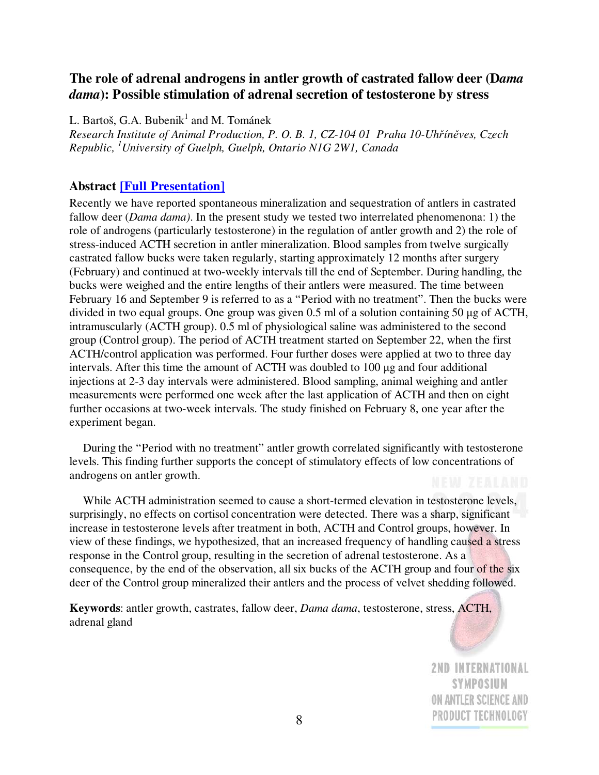### <span id="page-7-0"></span>**The role of adrenal androgens in antler growth of castrated fallow deer (D***ama dama***): Possible stimulation of adrenal secretion of testosterone by stress**

L. Bartoš, G.A. Bubenik<sup>1</sup> and M. Tománek

*Research Institute of Animal Production, P. O. B. 1, CZ-104 01 Praha 10-Uhín*-*ves, Czech Republic, <sup>1</sup>University of Guelph, Guelph, Ontario N1G 2W1, Canada*

### **Abstract [Full [Presentation\]](Feb-25 Wednesday/Session 3 (pm)/Bartos.pdf)**

Recently we have reported spontaneous mineralization and sequestration of antlers in castrated fallow deer (*Dama dama)*. In the present study we tested two interrelated phenomenona: 1) the role of androgens (particularly testosterone) in the regulation of antler growth and 2) the role of stress-induced ACTH secretion in antler mineralization. Blood samples from twelve surgically castrated fallow bucks were taken regularly, starting approximately 12 months after surgery (February) and continued at two-weekly intervals till the end of September. During handling, the bucks were weighed and the entire lengths of their antlers were measured. The time between February 16 and September 9 is referred to as a "Period with no treatment". Then the bucks were divided in two equal groups. One group was given  $0.5$  ml of a solution containing  $50 \mu$ g of ACTH, intramuscularly (ACTH group). 0.5 ml of physiological saline was administered to the second group (Control group). The period of ACTH treatment started on September 22, when the first ACTH/control application was performed. Four further doses were applied at two to three day intervals. After this time the amount of ACTH was doubled to  $100 \mu$ g and four additional injections at 2-3 day intervals were administered. Blood sampling, animal weighing and antler measurements were performed one week after the last application of ACTH and then on eight further occasions at two-week intervals. The study finished on February 8, one year after the experiment began.

During the "Period with no treatment" antler growth correlated significantly with testosterone levels. This finding further supports the concept of stimulatory effects of low concentrations of androgens on antler growth.

While ACTH administration seemed to cause a short-termed elevation in testosterone levels, surprisingly, no effects on cortisol concentration were detected. There was a sharp, significant increase in testosterone levels after treatment in both, ACTH and Control groups, however. In view of these findings, we hypothesized, that an increased frequency of handling caused a stress response in the Control group, resulting in the secretion of adrenal testosterone. As a consequence, by the end of the observation, all six bucks of the ACTH group and four of the six deer of the Control group mineralized their antlers and the process of velvet shedding followed.

**Keywords**: antler growth, castrates, fallow deer, *Dama dama*, testosterone, stress, ACTH, adrenal gland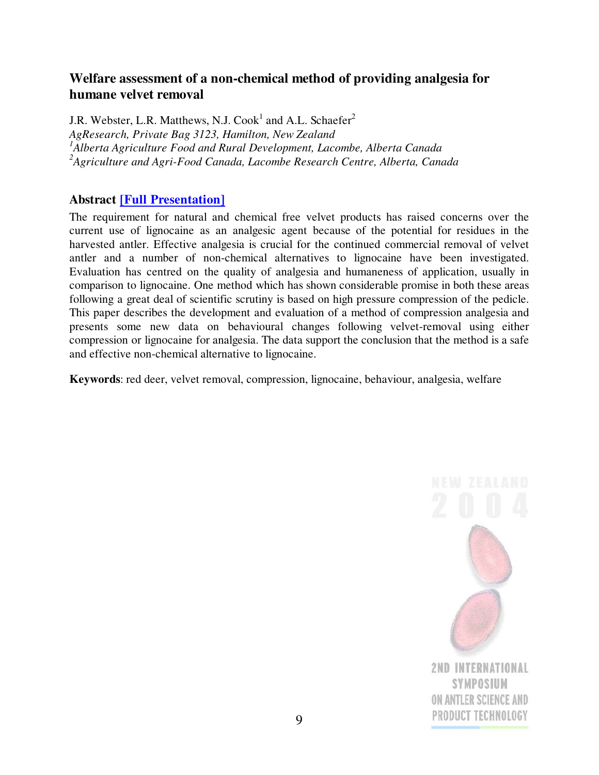### <span id="page-8-0"></span>**Welfare assessment of a non-chemical method of providing analgesia for humane velvet removal**

J.R. Webster, L.R. Matthews, N.J.  $\mathrm{Cook}^1$  and A.L. Schaefer<sup>2</sup> *AgResearch, Private Bag 3123, Hamilton, New Zealand <sup>1</sup>Alberta Agriculture Food and Rural Development, Lacombe, Alberta Canada <sup>2</sup>Agriculture and Agri-Food Canada, Lacombe Research Centre, Alberta, Canada*

#### **Abstract [Full [Presentation\]](Feb-25 Wednesday/Session 3 (pm)/Webster.pdf)**

The requirement for natural and chemical free velvet products has raised concerns over the current use of lignocaine as an analgesic agent because of the potential for residues in the harvested antler. Effective analgesia is crucial for the continued commercial removal of velvet antler and a number of non-chemical alternatives to lignocaine have been investigated. Evaluation has centred on the quality of analgesia and humaneness of application, usually in comparison to lignocaine. One method which has shown considerable promise in both these areas following a great deal of scientific scrutiny is based on high pressure compression of the pedicle. This paper describes the development and evaluation of a method of compression analgesia and presents some new data on behavioural changes following velvet-removal using either compression or lignocaine for analgesia. The data support the conclusion that the method is a safe and effective non-chemical alternative to lignocaine.

**Keywords**: red deer, velvet removal, compression, lignocaine, behaviour, analgesia, welfare

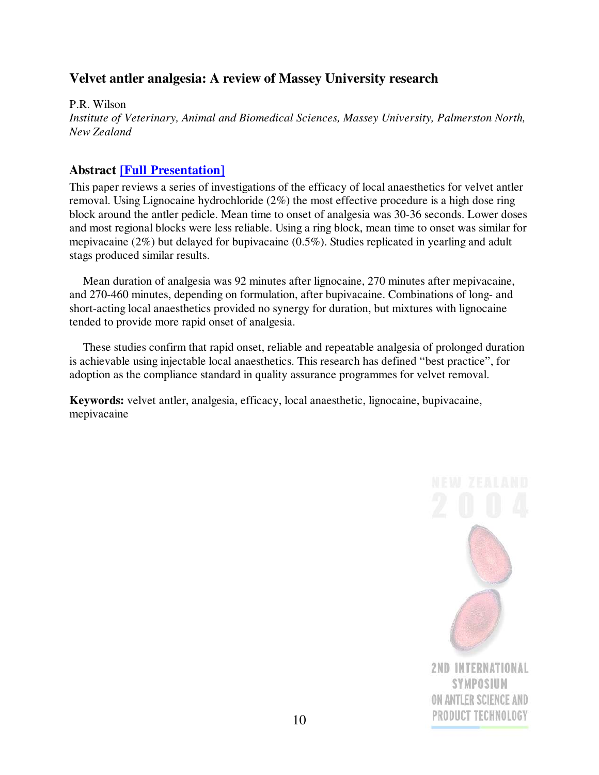### <span id="page-9-0"></span>**Velvet antler analgesia: A review of Massey University research**

P.R. Wilson

*Institute of Veterinary, Animal and Biomedical Sciences, Massey University, Palmerston North, New Zealand*

### **Abstract [Full [Presentation\]](Feb-25 Wednesday/Session 4 (pm)/Wilson.pdf)**

This paper reviews a series of investigations of the efficacy of local anaesthetics for velvet antler removal. Using Lignocaine hydrochloride (2%) the most effective procedure is a high dose ring block around the antler pedicle. Mean time to onset of analgesia was 30-36 seconds. Lower doses and most regional blocks were less reliable. Using a ring block, mean time to onset was similar for mepivacaine (2%) but delayed for bupivacaine (0.5%). Studies replicated in yearling and adult stags produced similar results.

Mean duration of analgesia was 92 minutes after lignocaine, 270 minutes after mepivacaine, and 270-460 minutes, depending on formulation, after bupivacaine. Combinations of long- and short-acting local anaesthetics provided no synergy for duration, but mixtures with lignocaine tended to provide more rapid onset of analgesia.

These studies confirm that rapid onset, reliable and repeatable analgesia of prolonged duration is achievable using injectable local anaesthetics. This research has defined "best practice", for adoption as the compliance standard in quality assurance programmes for velvet removal.

**Keywords:** velvet antler, analgesia, efficacy, local anaesthetic, lignocaine, bupivacaine, mepivacaine

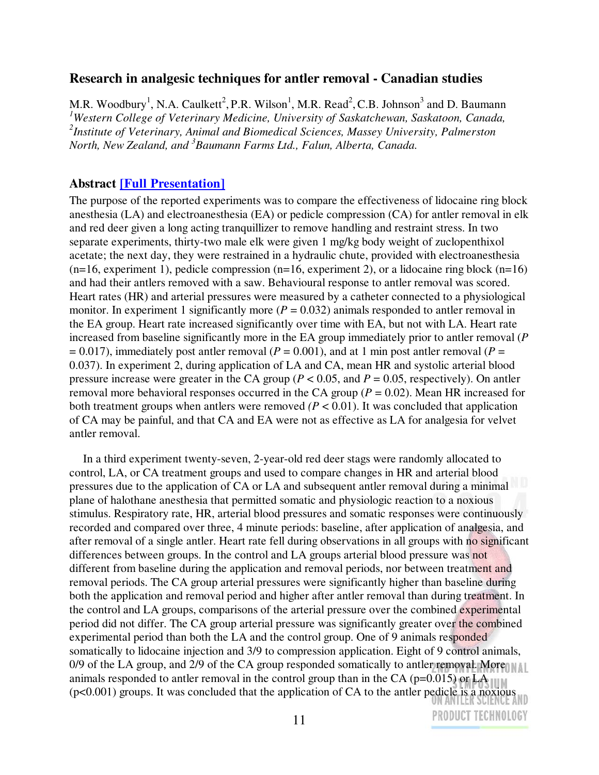#### <span id="page-10-0"></span>**Research in analgesic techniques for antler removal - Canadian studies**

M.R. Woodbury<sup>1</sup>, N.A. Caulkett<sup>2</sup>, P.R. Wilson<sup>1</sup>, M.R. Read<sup>2</sup>, C.B. Johnson<sup>3</sup> and D. Baumann *<sup>1</sup>Western College of Veterinary Medicine, University of Saskatchewan, Saskatoon, Canada, 2 Institute of Veterinary, Animal and Biomedical Sciences, Massey University, Palmerston North, New Zealand, and <sup>3</sup>Baumann Farms Ltd., Falun, Alberta, Canada.*

#### **Abstract [Full [Presentation\]](Feb-25 Wednesday/Session 4 (pm)/Woodbury - Removal Paper.pdf)**

The purpose of the reported experiments was to compare the effectiveness of lidocaine ring block anesthesia (LA) and electroanesthesia (EA) or pedicle compression (CA) for antler removal in elk and red deer given a long acting tranquillizer to remove handling and restraint stress. In two separate experiments, thirty-two male elk were given 1 mg/kg body weight of zuclopenthixol acetate; the next day, they were restrained in a hydraulic chute, provided with electroanesthesia  $(n=16,$  experiment 1), pedicle compression  $(n=16,$  experiment 2), or a lidocaine ring block  $(n=16)$ and had their antlers removed with a saw. Behavioural response to antler removal was scored. Heart rates (HR) and arterial pressures were measured by a catheter connected to a physiological monitor. In experiment 1 significantly more  $(P = 0.032)$  animals responded to antler removal in the EA group. Heart rate increased significantly over time with EA, but not with LA. Heart rate increased from baseline significantly more in the EA group immediately prior to antler removal (*P*  $= 0.017$ ), immediately post antler removal ( $P = 0.001$ ), and at 1 min post antler removal ( $P = 0.017$ ) 0.037). In experiment 2, during application of LA and CA, mean HR and systolic arterial blood pressure increase were greater in the CA group (*P* < 0.05, and *P* = 0.05, respectively). On antler removal more behavioral responses occurred in the CA group  $(P = 0.02)$ . Mean HR increased for both treatment groups when antlers were removed  $(P < 0.01)$ . It was concluded that application of CA may be painful, and that CA and EA were not as effective as LA for analgesia for velvet antler removal.

In a third experiment twenty-seven, 2-year-old red deer stags were randomly allocated to control, LA, or CA treatment groups and used to compare changes in HR and arterial blood pressures due to the application of CA or LA and subsequent antler removal during a minimal plane of halothane anesthesia that permitted somatic and physiologic reaction to a noxious stimulus. Respiratory rate, HR, arterial blood pressures and somatic responses were continuously recorded and compared over three, 4 minute periods: baseline, after application of analgesia, and after removal of a single antler. Heart rate fell during observations in all groups with no significant differences between groups. In the control and LA groups arterial blood pressure was not different from baseline during the application and removal periods, nor between treatment and removal periods. The CA group arterial pressures were significantly higher than baseline during both the application and removal period and higher after antler removal than during treatment. In the control and LA groups, comparisons of the arterial pressure over the combined experimental period did not differ. The CA group arterial pressure was significantly greater over the combined experimental period than both the LA and the control group. One of 9 animals responded somatically to lidocaine injection and 3/9 to compression application. Eight of 9 control animals, 0/9 of the LA group, and 2/9 of the CA group responded somatically to antler removal. More animals responded to antler removal in the control group than in the CA ( $p=0.015$ ) or LA (p<0.001) groups. It was concluded that the application of CA to the antler pedicle is a noxious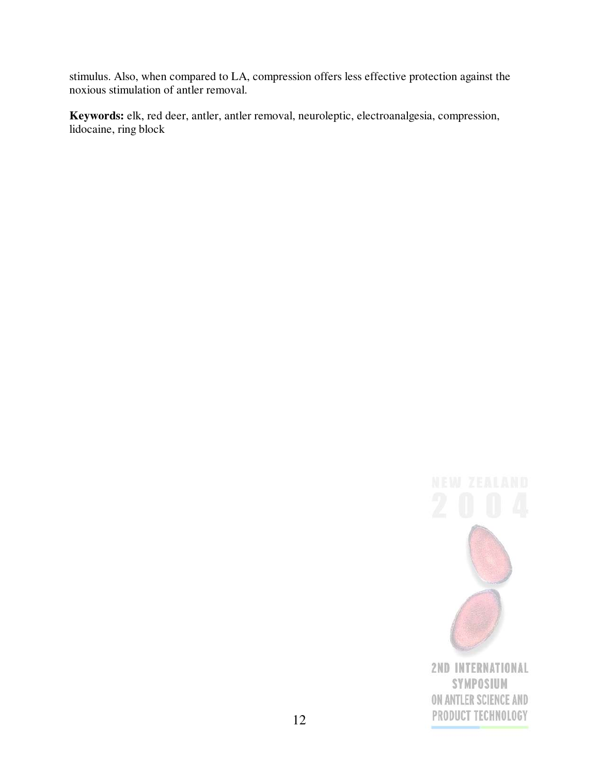stimulus. Also, when compared to LA, compression offers less effective protection against the noxious stimulation of antler removal.

**Keywords:** elk, red deer, antler, antler removal, neuroleptic, electroanalgesia, compression, lidocaine, ring block

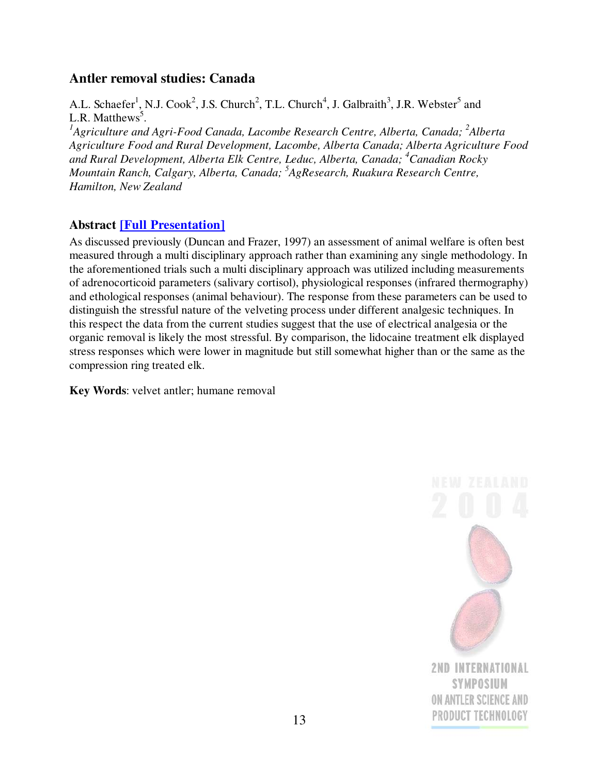#### <span id="page-12-0"></span>**Antler removal studies: Canada**

A.L. Schaefer<sup>1</sup>, N.J. Cook<sup>2</sup>, J.S. Church<sup>2</sup>, T.L. Church<sup>4</sup>, J. Galbraith<sup>3</sup>, J.R. Webster<sup>5</sup> and L.R. Matthews<sup>5</sup>.

*<sup>1</sup>Agriculture and Agri-Food Canada, Lacombe Research Centre, Alberta, Canada; <sup>2</sup>Alberta Agriculture Food and Rural Development, Lacombe, Alberta Canada; Alberta Agriculture Food and Rural Development, Alberta Elk Centre, Leduc, Alberta, Canada; <sup>4</sup>Canadian Rocky Mountain Ranch, Calgary, Alberta, Canada; <sup>5</sup>AgResearch, Ruakura Research Centre, Hamilton, New Zealand*

#### **Abstract [Full [Presentation\]](Feb-25 Wednesday/Session 4 (pm)/Schaefer.pdf)**

As discussed previously (Duncan and Frazer, 1997) an assessment of animal welfare is often best measured through a multi disciplinary approach rather than examining any single methodology. In the aforementioned trials such a multi disciplinary approach was utilized including measurements of adrenocorticoid parameters (salivary cortisol), physiological responses (infrared thermography) and ethological responses (animal behaviour). The response from these parameters can be used to distinguish the stressful nature of the velveting process under different analgesic techniques. In this respect the data from the current studies suggest that the use of electrical analgesia or the organic removal is likely the most stressful. By comparison, the lidocaine treatment elk displayed stress responses which were lower in magnitude but still somewhat higher than or the same as the compression ring treated elk.

**Key Words**: velvet antler; humane removal

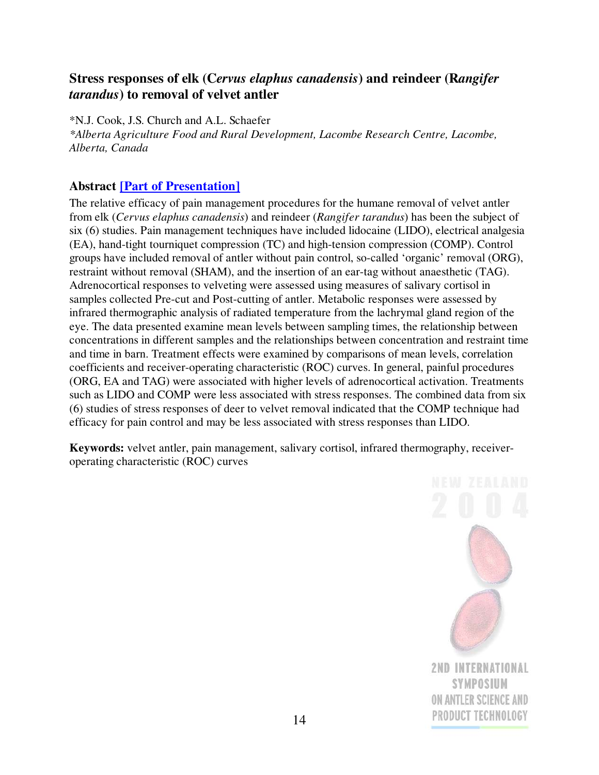# <span id="page-13-0"></span>**Stress responses of elk (C***ervus elaphus canadensis***) and reindeer (R***angifer tarandus***) to removal of velvet antler**

\*N.J. Cook, J.S. Church and A.L. Schaefer *\*Alberta Agriculture Food and Rural Development, Lacombe Research Centre, Lacombe, Alberta, Canada*

### **Abstract [Part of [Presentation\]](Feb-25 Wednesday/Session 4 (pm)/Cook - (2nd Half of Talk Only).pdf)**

The relative efficacy of pain management procedures for the humane removal of velvet antler from elk (*Cervus elaphus canadensis*) and reindeer (*Rangifer tarandus*) has been the subject of six (6) studies. Pain management techniques have included lidocaine (LIDO), electrical analgesia (EA), hand-tight tourniquet compression (TC) and high-tension compression (COMP). Control groups have included removal of antler without pain control, so-called 'organic' removal (ORG), restraint without removal (SHAM), and the insertion of an ear-tag without anaesthetic (TAG). Adrenocortical responses to velveting were assessed using measures of salivary cortisol in samples collected Pre-cut and Post-cutting of antler. Metabolic responses were assessed by infrared thermographic analysis of radiated temperature from the lachrymal gland region of the eye. The data presented examine mean levels between sampling times, the relationship between concentrations in different samples and the relationships between concentration and restraint time and time in barn. Treatment effects were examined by comparisons of mean levels, correlation coefficients and receiver-operating characteristic (ROC) curves. In general, painful procedures (ORG, EA and TAG) were associated with higher levels of adrenocortical activation. Treatments such as LIDO and COMP were less associated with stress responses. The combined data from six (6) studies of stress responses of deer to velvet removal indicated that the COMP technique had efficacy for pain control and may be less associated with stress responses than LIDO.

**Keywords:** velvet antler, pain management, salivary cortisol, infrared thermography, receiveroperating characteristic (ROC) curves

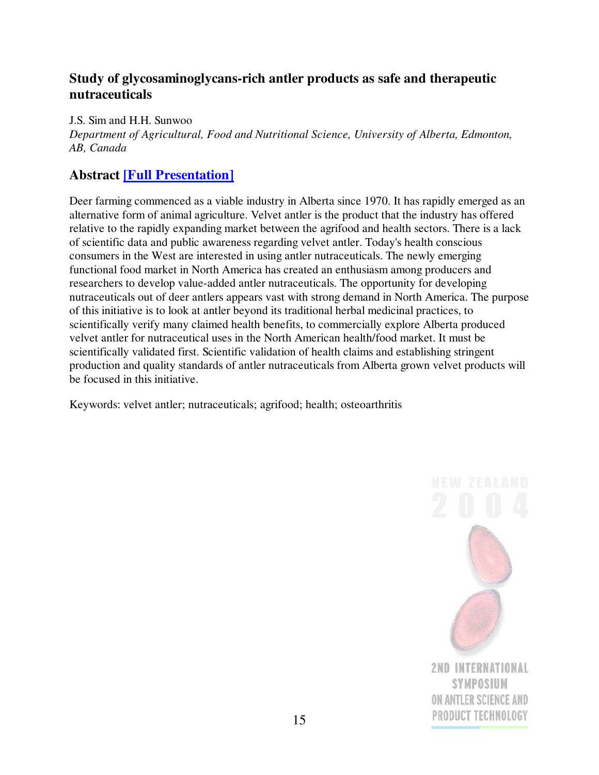# <span id="page-14-0"></span>**Study of glycosaminoglycans-rich antler products as safe and therapeutic nutraceuticals**

J.S. Sim and H.H. Sunwoo

*Department of Agricultural, Food and Nutritional Science, University of Alberta, Edmonton, AB, Canada*

# **Abstract [Full [Presentation\]](Feb-26 Thursday/Session 1 (am)/Sunwoo.pdf)**

Deer farming commenced as a viable industry in Alberta since 1970. It has rapidly emerged as an alternative form of animal agriculture. Velvet antler is the product that the industry has offered relative to the rapidly expanding market between the agrifood and health sectors. There is a lack of scientific data and public awareness regarding velvet antler. Today's health conscious consumers in the West are interested in using antler nutraceuticals. The newly emerging functional food market in North America has created an enthusiasm among producers and researchers to develop value-added antler nutraceuticals. The opportunity for developing nutraceuticals out of deer antlers appears vast with strong demand in North America. The purpose of this initiative is to look at antler beyond its traditional herbal medicinal practices, to scientifically verify many claimed health benefits, to commercially explore Alberta produced velvet antler for nutraceutical uses in the North American health/food market. It must be scientifically validated first. Scientific validation of health claims and establishing stringent production and quality standards of antler nutraceuticals from Alberta grown velvet products will be focused in this initiative.

Keywords: velvet antler; nutraceuticals; agrifood; health; osteoarthritis

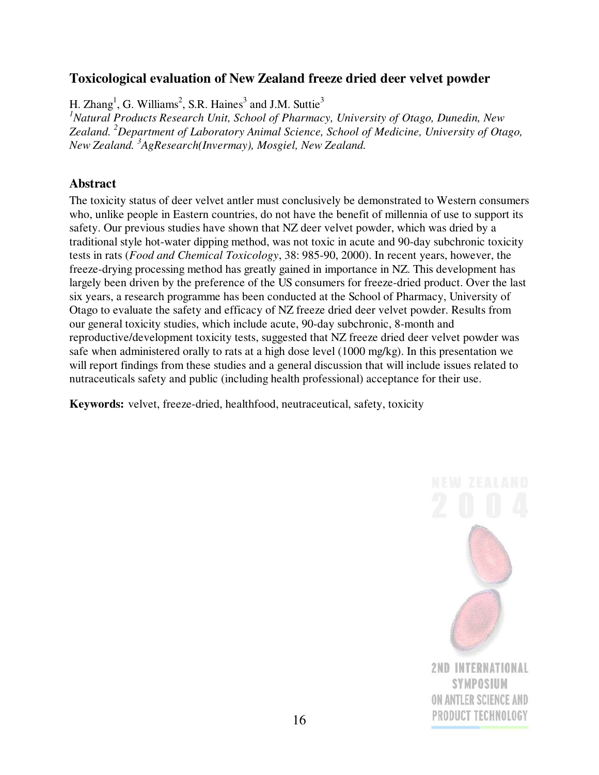### <span id="page-15-0"></span>**Toxicological evaluation of New Zealand freeze dried deer velvet powder**

H. Zhang<sup>1</sup>, G. Williams<sup>2</sup>, S.R. Haines<sup>3</sup> and J.M. Suttie<sup>3</sup>

*<sup>1</sup>Natural Products Research Unit, School of Pharmacy, University of Otago, Dunedin, New Zealand. <sup>2</sup>Department of Laboratory Animal Science, School of Medicine, University of Otago, New Zealand. <sup>3</sup>AgResearch(Invermay), Mosgiel, New Zealand.*

#### **Abstract**

The toxicity status of deer velvet antler must conclusively be demonstrated to Western consumers who, unlike people in Eastern countries, do not have the benefit of millennia of use to support its safety. Our previous studies have shown that NZ deer velvet powder, which was dried by a traditional style hot-water dipping method, was not toxic in acute and 90-day subchronic toxicity tests in rats (*Food and Chemical Toxicology*, 38: 985-90, 2000). In recent years, however, the freeze-drying processing method has greatly gained in importance in NZ. This development has largely been driven by the preference of the US consumers for freeze-dried product. Over the last six years, a research programme has been conducted at the School of Pharmacy, University of Otago to evaluate the safety and efficacy of NZ freeze dried deer velvet powder. Results from our general toxicity studies, which include acute, 90-day subchronic, 8-month and reproductive/development toxicity tests, suggested that NZ freeze dried deer velvet powder was safe when administered orally to rats at a high dose level (1000 mg/kg). In this presentation we will report findings from these studies and a general discussion that will include issues related to nutraceuticals safety and public (including health professional) acceptance for their use.

**Keywords:** velvet, freeze-dried, healthfood, neutraceutical, safety, toxicity

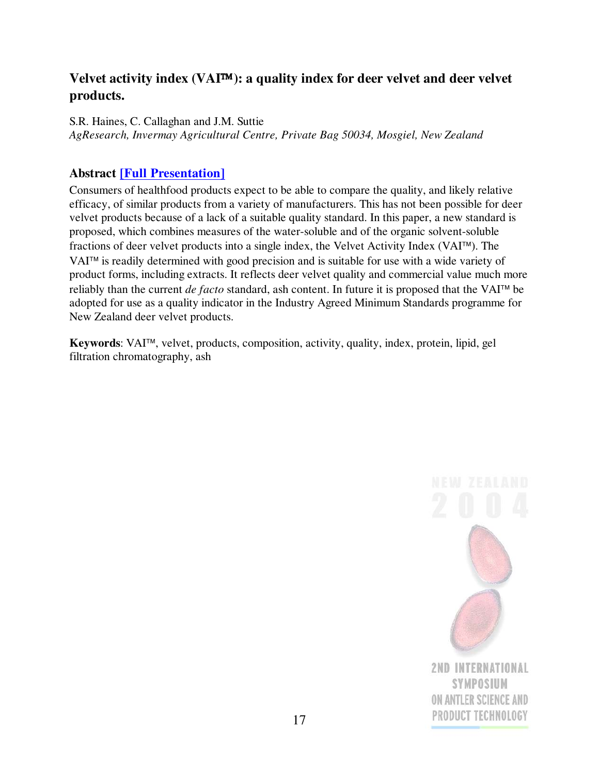# <span id="page-16-0"></span>**Velvet activity index (VAI): a quality index for deer velvet and deer velvet products.**

S.R. Haines, C. Callaghan and J.M. Suttie *AgResearch, Invermay Agricultural Centre, Private Bag 50034, Mosgiel, New Zealand*

## **Abstract [Full [Presentation\]](Feb-26 Thursday/Session 2 (am)/Haines.pdf)**

Consumers of healthfood products expect to be able to compare the quality, and likely relative efficacy, of similar products from a variety of manufacturers. This has not been possible for deer velvet products because of a lack of a suitable quality standard. In this paper, a new standard is proposed, which combines measures of the water-soluble and of the organic solvent-soluble fractions of deer velvet products into a single index, the Velvet Activity Index (VAI<sup>TM</sup>). The VAI<sup>™</sup> is readily determined with good precision and is suitable for use with a wide variety of product forms, including extracts. It reflects deer velvet quality and commercial value much more reliably than the current *de facto* standard, ash content. In future it is proposed that the VAI<sup>TM</sup> be adopted for use as a quality indicator in the Industry Agreed Minimum Standards programme for New Zealand deer velvet products.

**Keywords**: VAI™, velvet, products, composition, activity, quality, index, protein, lipid, gel filtration chromatography, ash

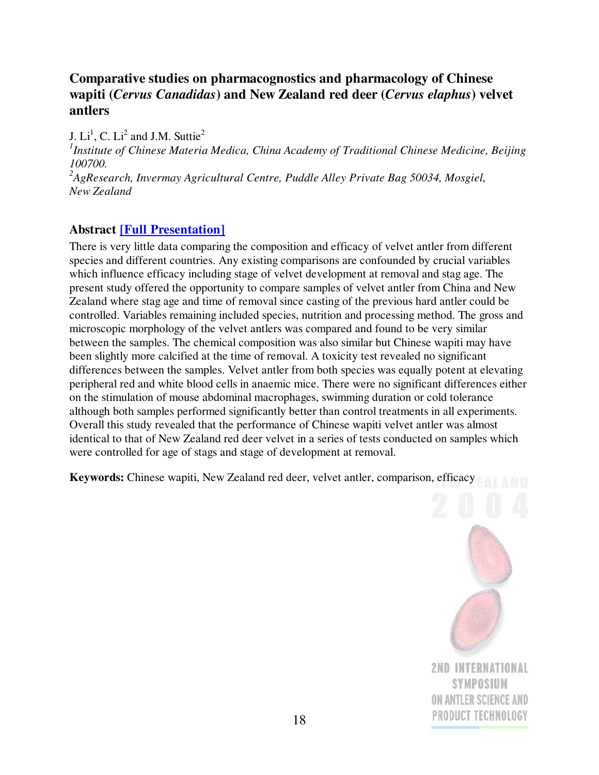# <span id="page-17-0"></span>**Comparative studies on pharmacognostics and pharmacology of Chinese wapiti (***Cervus Canadidas***) and New Zealand red deer (***Cervus elaphus***) velvet antlers**

J.  $Li<sup>1</sup>$ , C.  $Li<sup>2</sup>$  and J.M. Suttie<sup>2</sup>

*1 Institute of Chinese Materia Medica, China Academy of Traditional Chinese Medicine, Beijing 100700. <sup>2</sup>AgResearch, Invermay Agricultural Centre, Puddle Alley Private Bag 50034, Mosgiel, New Zealand*

# **Abstract [Full [Presentation\]](Feb-26 Thursday/Session 2 (am)/Li Junde.pdf)**

There is very little data comparing the composition and efficacy of velvet antler from different species and different countries. Any existing comparisons are confounded by crucial variables which influence efficacy including stage of velvet development at removal and stag age. The present study offered the opportunity to compare samples of velvet antler from China and New Zealand where stag age and time of removal since casting of the previous hard antler could be controlled. Variables remaining included species, nutrition and processing method. The gross and microscopic morphology of the velvet antlers was compared and found to be very similar between the samples. The chemical composition was also similar but Chinese wapiti may have been slightly more calcified at the time of removal. A toxicity test revealed no significant differences between the samples. Velvet antler from both species was equally potent at elevating peripheral red and white blood cells in anaemic mice. There were no significant differences either on the stimulation of mouse abdominal macrophages, swimming duration or cold tolerance although both samples performed significantly better than control treatments in all experiments. Overall this study revealed that the performance of Chinese wapiti velvet antler was almost identical to that of New Zealand red deer velvet in a series of tests conducted on samples which were controlled for age of stags and stage of development at removal.

**Keywords:** Chinese wapiti, New Zealand red deer, velvet antler, comparison, efficacy

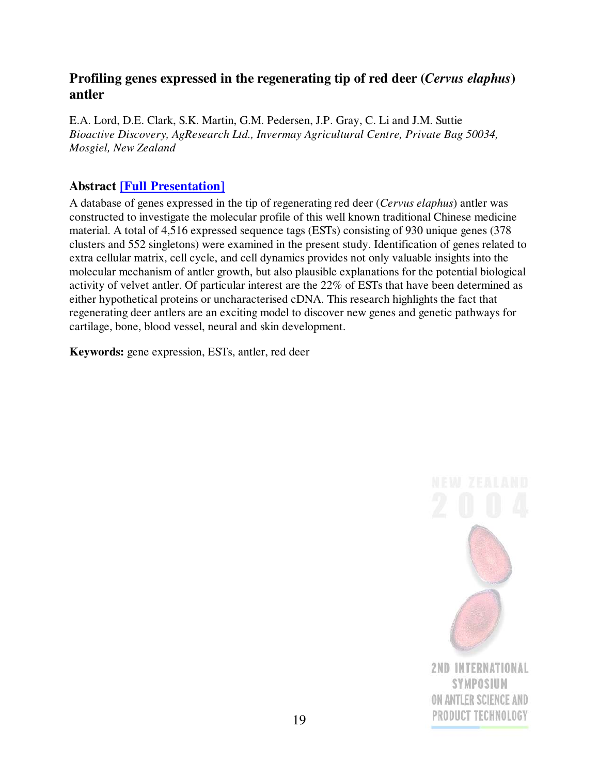### <span id="page-18-0"></span>**Profiling genes expressed in the regenerating tip of red deer (***Cervus elaphus***) antler**

E.A. Lord, D.E. Clark, S.K. Martin, G.M. Pedersen, J.P. Gray, C. Li and J.M. Suttie *Bioactive Discovery, AgResearch Ltd., Invermay Agricultural Centre, Private Bag 50034, Mosgiel, New Zealand*

# **Abstract [Full [Presentation\]](Feb-26 Thursday/Session 2 (am)/Lord.pdf)**

A database of genes expressed in the tip of regenerating red deer (*Cervus elaphus*) antler was constructed to investigate the molecular profile of this well known traditional Chinese medicine material. A total of 4,516 expressed sequence tags (ESTs) consisting of 930 unique genes (378 clusters and 552 singletons) were examined in the present study. Identification of genes related to extra cellular matrix, cell cycle, and cell dynamics provides not only valuable insights into the molecular mechanism of antler growth, but also plausible explanations for the potential biological activity of velvet antler. Of particular interest are the 22% of ESTs that have been determined as either hypothetical proteins or uncharacterised cDNA. This research highlights the fact that regenerating deer antlers are an exciting model to discover new genes and genetic pathways for cartilage, bone, blood vessel, neural and skin development.

**Keywords:** gene expression, ESTs, antler, red deer

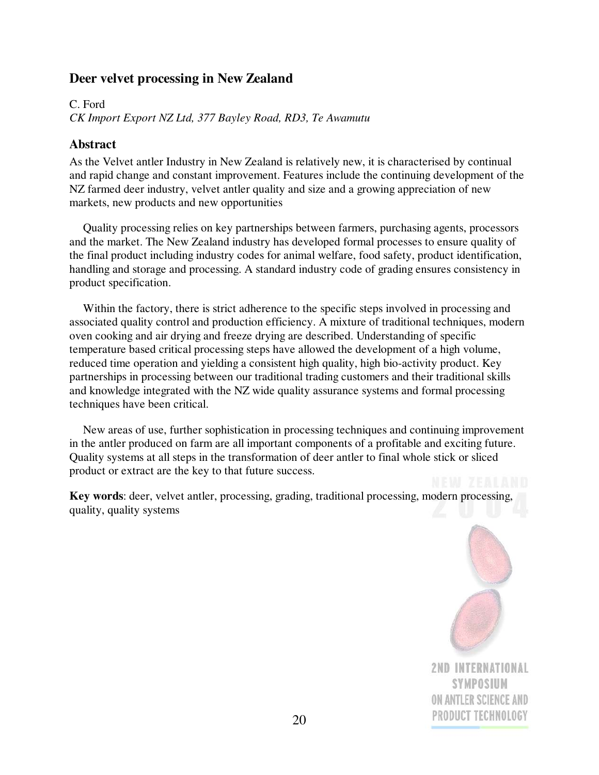#### <span id="page-19-0"></span>**Deer velvet processing in New Zealand**

C. Ford

*CK Import Export NZ Ltd, 377 Bayley Road, RD3, Te Awamutu*

#### **Abstract**

As the Velvet antler Industry in New Zealand is relatively new, it is characterised by continual and rapid change and constant improvement. Features include the continuing development of the NZ farmed deer industry, velvet antler quality and size and a growing appreciation of new markets, new products and new opportunities

Quality processing relies on key partnerships between farmers, purchasing agents, processors and the market. The New Zealand industry has developed formal processes to ensure quality of the final product including industry codes for animal welfare, food safety, product identification, handling and storage and processing. A standard industry code of grading ensures consistency in product specification.

Within the factory, there is strict adherence to the specific steps involved in processing and associated quality control and production efficiency. A mixture of traditional techniques, modern oven cooking and air drying and freeze drying are described. Understanding of specific temperature based critical processing steps have allowed the development of a high volume, reduced time operation and yielding a consistent high quality, high bio-activity product. Key partnerships in processing between our traditional trading customers and their traditional skills and knowledge integrated with the NZ wide quality assurance systems and formal processing techniques have been critical.

New areas of use, further sophistication in processing techniques and continuing improvement in the antler produced on farm are all important components of a profitable and exciting future. Quality systems at all steps in the transformation of deer antler to final whole stick or sliced product or extract are the key to that future success.

**Key words**: deer, velvet antler, processing, grading, traditional processing, modern processing, quality, quality systems

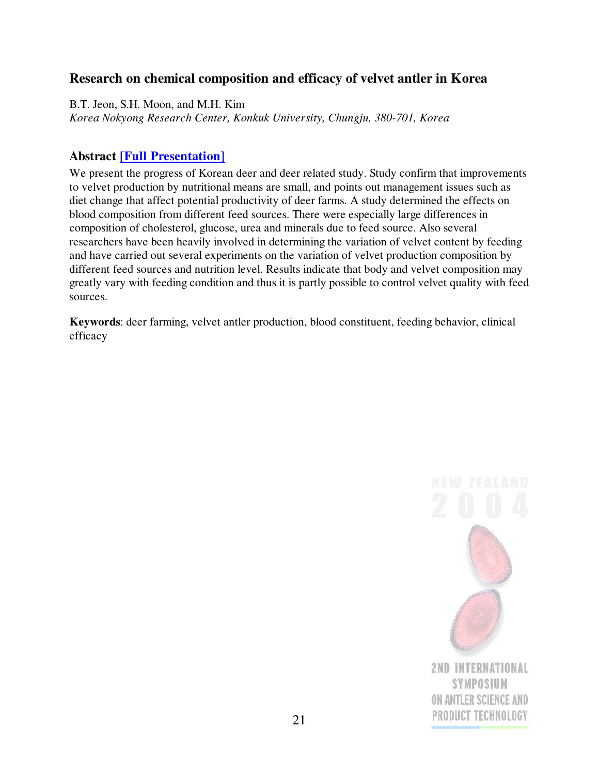### <span id="page-20-0"></span>**Research on chemical composition and efficacy of velvet antler in Korea**

B.T. Jeon, S.H. Moon, and M.H. Kim

*Korea Nokyong Research Center, Konkuk University, Chungju, 380-701, Korea*

### **Abstract [Full [Presentation\]](Feb-26 Thursday/Session 4 (pm)/Moon.pdf)**

We present the progress of Korean deer and deer related study. Study confirm that improvements to velvet production by nutritional means are small, and points out management issues such as diet change that affect potential productivity of deer farms. A study determined the effects on blood composition from different feed sources. There were especially large differences in composition of cholesterol, glucose, urea and minerals due to feed source. Also several researchers have been heavily involved in determining the variation of velvet content by feeding and have carried out several experiments on the variation of velvet production composition by different feed sources and nutrition level. Results indicate that body and velvet composition may greatly vary with feeding condition and thus it is partly possible to control velvet quality with feed sources.

**Keywords**: deer farming, velvet antler production, blood constituent, feeding behavior, clinical efficacy

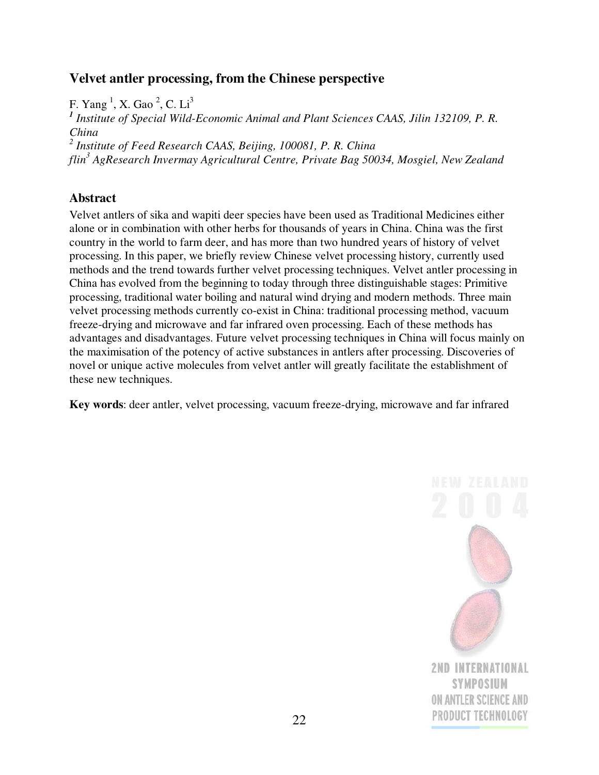### <span id="page-21-0"></span>**Velvet antler processing, from the Chinese perspective**

F. Yang  $^1$ , X. Gao  $^2$ , C. Li<sup>3</sup>

*1 Institute of Special Wild-Economic Animal and Plant Sciences CAAS, Jilin 132109, P. R. China 2 Institute of Feed Research CAAS, Beijing, 100081, P. R. China flin <sup>3</sup> AgResearch Invermay Agricultural Centre, Private Bag 50034, Mosgiel, New Zealand*

### **Abstract**

Velvet antlers of sika and wapiti deer species have been used as Traditional Medicines either alone or in combination with other herbs for thousands of years in China. China was the first country in the world to farm deer, and has more than two hundred years of history of velvet processing. In this paper, we briefly review Chinese velvet processing history, currently used methods and the trend towards further velvet processing techniques. Velvet antler processing in China has evolved from the beginning to today through three distinguishable stages: Primitive processing, traditional water boiling and natural wind drying and modern methods. Three main velvet processing methods currently co-exist in China: traditional processing method, vacuum freeze-drying and microwave and far infrared oven processing. Each of these methods has advantages and disadvantages. Future velvet processing techniques in China will focus mainly on the maximisation of the potency of active substances in antlers after processing. Discoveries of novel or unique active molecules from velvet antler will greatly facilitate the establishment of these new techniques.

**Key words**: deer antler, velvet processing, vacuum freeze-drying, microwave and far infrared

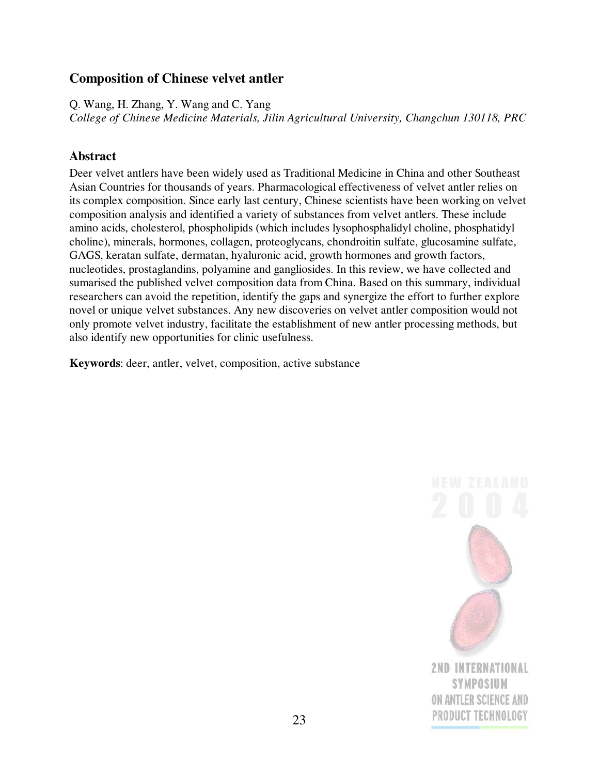### <span id="page-22-0"></span>**Composition of Chinese velvet antler**

Q. Wang, H. Zhang, Y. Wang and C. Yang

*College of Chinese Medicine Materials, Jilin Agricultural University, Changchun 130118, PRC*

#### **Abstract**

Deer velvet antlers have been widely used as Traditional Medicine in China and other Southeast Asian Countries for thousands of years. Pharmacological effectiveness of velvet antler relies on its complex composition. Since early last century, Chinese scientists have been working on velvet composition analysis and identified a variety of substances from velvet antlers. These include amino acids, cholesterol, phospholipids (which includes lysophosphalidyl choline, phosphatidyl choline), minerals, hormones, collagen, proteoglycans, chondroitin sulfate, glucosamine sulfate, GAGS, keratan sulfate, dermatan, hyaluronic acid, growth hormones and growth factors, nucleotides, prostaglandins, polyamine and gangliosides. In this review, we have collected and sumarised the published velvet composition data from China. Based on this summary, individual researchers can avoid the repetition, identify the gaps and synergize the effort to further explore novel or unique velvet substances. Any new discoveries on velvet antler composition would not only promote velvet industry, facilitate the establishment of new antler processing methods, but also identify new opportunities for clinic usefulness.

**Keywords**: deer, antler, velvet, composition, active substance

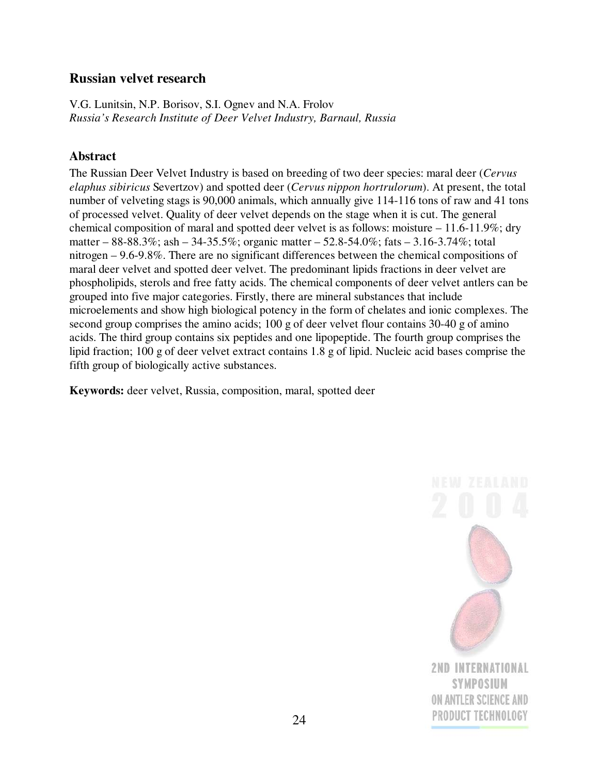### <span id="page-23-0"></span>**Russian velvet research**

V.G. Lunitsin, N.P. Borisov, S.I. Ognev and N.A. Frolov *Russia's Research Institute of Deer Velvet Industry, Barnaul, Russia*

#### **Abstract**

The Russian Deer Velvet Industry is based on breeding of two deer species: maral deer (*Cervus elaphus sibiricus* Severtzov) and spotted deer (*Cervus nippon hortrulorum*). At present, the total number of velveting stags is 90,000 animals, which annually give 114-116 tons of raw and 41 tons of processed velvet. Quality of deer velvet depends on the stage when it is cut. The general chemical composition of maral and spotted deer velvet is as follows: moisture – 11.6-11.9%; dry matter – 88-88.3%; ash – 34-35.5%; organic matter – 52.8-54.0%; fats – 3.16-3.74%; total nitrogen – 9.6-9.8%. There are no significant differences between the chemical compositions of maral deer velvet and spotted deer velvet. The predominant lipids fractions in deer velvet are phospholipids, sterols and free fatty acids. The chemical components of deer velvet antlers can be grouped into five major categories. Firstly, there are mineral substances that include microelements and show high biological potency in the form of chelates and ionic complexes. The second group comprises the amino acids; 100 g of deer velvet flour contains 30-40 g of amino acids. The third group contains six peptides and one lipopeptide. The fourth group comprises the lipid fraction; 100 g of deer velvet extract contains 1.8 g of lipid. Nucleic acid bases comprise the fifth group of biologically active substances.

**Keywords:** deer velvet, Russia, composition, maral, spotted deer

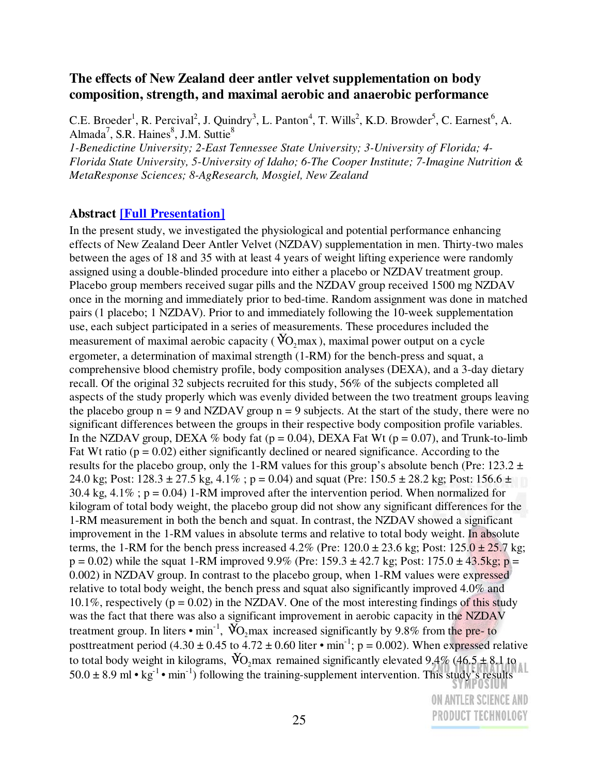### <span id="page-24-0"></span>**The effects of New Zealand deer antler velvet supplementation on body composition, strength, and maximal aerobic and anaerobic performance**

C.E. Broeder<sup>1</sup>, R. Percival<sup>2</sup>, J. Quindry<sup>3</sup>, L. Panton<sup>4</sup>, T. Wills<sup>2</sup>, K.D. Browder<sup>5</sup>, C. Earnest<sup>6</sup>, A. Almada<sup>7</sup>, S.R. Haines ${}^{8}$ , J.M. Suttie ${}^{8}$ 

*1-Benedictine University; 2-East Tennessee State University; 3-University of Florida; 4- Florida State University, 5-University of Idaho; 6-The Cooper Institute; 7-Imagine Nutrition & MetaResponse Sciences; 8-AgResearch, Mosgiel, New Zealand*

#### **Abstract [Full [Presentation\]](Feb-27 Friday/Session 2 (am)/Broeder.pdf)**

In the present study, we investigated the physiological and potential performance enhancing effects of New Zealand Deer Antler Velvet (NZDAV) supplementation in men. Thirty-two males between the ages of 18 and 35 with at least 4 years of weight lifting experience were randomly assigned using a double-blinded procedure into either a placebo or NZDAV treatment group. Placebo group members received sugar pills and the NZDAV group received 1500 mg NZDAV once in the morning and immediately prior to bed-time. Random assignment was done in matched pairs (1 placebo; 1 NZDAV). Prior to and immediately following the 10-week supplementation use, each subject participated in a series of measurements. These procedures included the measurement of maximal aerobic capacity ( $\rm\dot{V}\rm{O,}$  max), maximal power output on a cycle ergometer, a determination of maximal strength (1-RM) for the bench-press and squat, a comprehensive blood chemistry profile, body composition analyses (DEXA), and a 3-day dietary recall. Of the original 32 subjects recruited for this study, 56% of the subjects completed all aspects of the study properly which was evenly divided between the two treatment groups leaving the placebo group  $n = 9$  and NZDAV group  $n = 9$  subjects. At the start of the study, there were no significant differences between the groups in their respective body composition profile variables. In the NZDAV group, DEXA % body fat ( $p = 0.04$ ), DEXA Fat Wt ( $p = 0.07$ ), and Trunk-to-limb Fat Wt ratio ( $p = 0.02$ ) either significantly declined or neared significance. According to the results for the placebo group, only the 1-RM values for this group's absolute bench (Pre:  $123.2 \pm$ 24.0 kg; Post:  $128.3 \pm 27.5$  kg,  $4.1\%$ ; p = 0.04) and squat (Pre:  $150.5 \pm 28.2$  kg; Post:  $156.6 \pm 10.5$ 30.4 kg,  $4.1\%$ ; p = 0.04) 1-RM improved after the intervention period. When normalized for kilogram of total body weight, the placebo group did not show any significant differences for the 1-RM measurement in both the bench and squat. In contrast, the NZDAV showed a significant improvement in the 1-RM values in absolute terms and relative to total body weight. In absolute terms, the 1-RM for the bench press increased  $4.2\%$  (Pre:  $120.0 \pm 23.6$  kg; Post:  $125.0 \pm 25.7$  kg;  $p = 0.02$ ) while the squat 1-RM improved 9.9% (Pre: 159.3  $\pm$  42.7 kg; Post: 175.0  $\pm$  43.5kg; p = 0.002) in NZDAV group. In contrast to the placebo group, when 1-RM values were expressed relative to total body weight, the bench press and squat also significantly improved 4.0% and 10.1%, respectively ( $p = 0.02$ ) in the NZDAV. One of the most interesting findings of this study was the fact that there was also a significant improvement in aerobic capacity in the NZDAV treatment group. In liters  $\cdot$  min<sup>-1</sup>,  $\rm \check{V}\mathrm{O}_{2}$  max increased significantly by 9.8% from the pre-to posttreatment period  $(4.30 \pm 0.45 \text{ to } 4.72 \pm 0.60 \text{ liter} \cdot \text{min}^{-1}$ ; p = 0.002). When expressed relative to total body weight in kilograms,  $\dot{V}_{\text{O,max}}$  remained significantly elevated 9.4% (46.5  $\pm$  8.1 to 50.0  $\pm$  8.9 ml • kg<sup>-1</sup> • min<sup>-1</sup>) following the training-supplement intervention. This study's results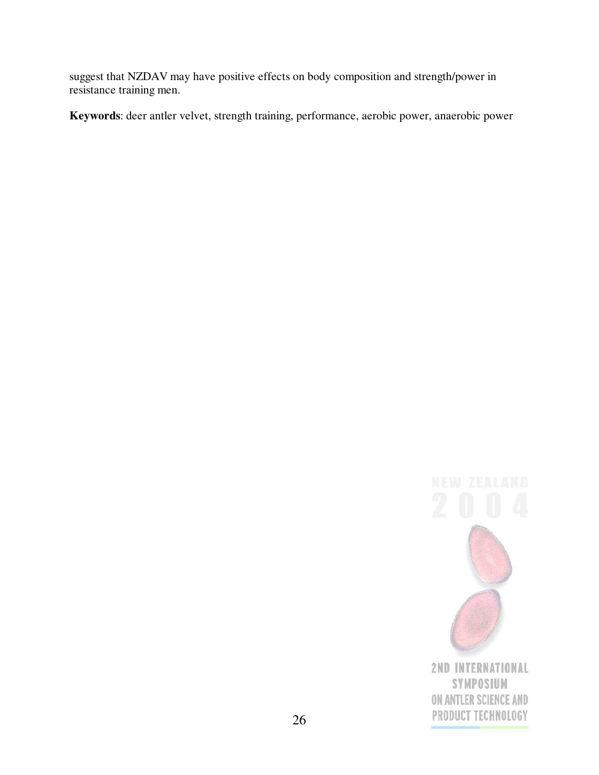suggest that NZDAV may have positive effects on body composition and strength/power in resistance training men.

**Keywords**: deer antler velvet, strength training, performance, aerobic power, anaerobic power

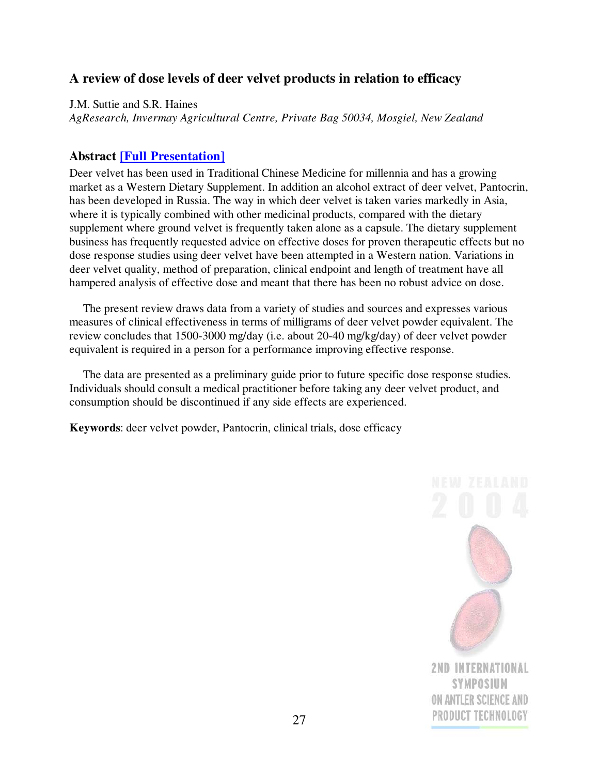### <span id="page-26-0"></span>**A review of dose levels of deer velvet products in relation to efficacy**

J.M. Suttie and S.R. Haines

*AgResearch, Invermay Agricultural Centre, Private Bag 50034, Mosgiel, New Zealand*

### **Abstract [Full [Presentation\]](Feb-27 Friday/Session 2 (am)/Suttie.pdf)**

Deer velvet has been used in Traditional Chinese Medicine for millennia and has a growing market as a Western Dietary Supplement. In addition an alcohol extract of deer velvet, Pantocrin, has been developed in Russia. The way in which deer velvet is taken varies markedly in Asia, where it is typically combined with other medicinal products, compared with the dietary supplement where ground velvet is frequently taken alone as a capsule. The dietary supplement business has frequently requested advice on effective doses for proven therapeutic effects but no dose response studies using deer velvet have been attempted in a Western nation. Variations in deer velvet quality, method of preparation, clinical endpoint and length of treatment have all hampered analysis of effective dose and meant that there has been no robust advice on dose.

The present review draws data from a variety of studies and sources and expresses various measures of clinical effectiveness in terms of milligrams of deer velvet powder equivalent. The review concludes that 1500-3000 mg/day (i.e. about 20-40 mg/kg/day) of deer velvet powder equivalent is required in a person for a performance improving effective response.

The data are presented as a preliminary guide prior to future specific dose response studies. Individuals should consult a medical practitioner before taking any deer velvet product, and consumption should be discontinued if any side effects are experienced.

**Keywords**: deer velvet powder, Pantocrin, clinical trials, dose efficacy

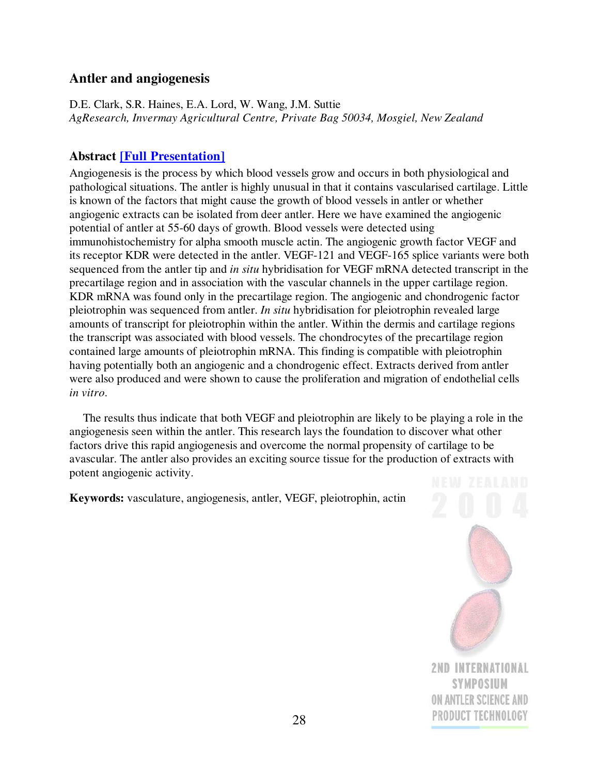### <span id="page-27-0"></span>**Antler and angiogenesis**

D.E. Clark, S.R. Haines, E.A. Lord, W. Wang, J.M. Suttie *AgResearch, Invermay Agricultural Centre, Private Bag 50034, Mosgiel, New Zealand*

### **Abstract [Full [Presentation\]](Feb-27 Friday/Session 3 (pm)/Clark.pdf)**

Angiogenesis is the process by which blood vessels grow and occurs in both physiological and pathological situations. The antler is highly unusual in that it contains vascularised cartilage. Little is known of the factors that might cause the growth of blood vessels in antler or whether angiogenic extracts can be isolated from deer antler. Here we have examined the angiogenic potential of antler at 55-60 days of growth. Blood vessels were detected using immunohistochemistry for alpha smooth muscle actin. The angiogenic growth factor VEGF and its receptor KDR were detected in the antler. VEGF-121 and VEGF-165 splice variants were both sequenced from the antler tip and *in situ* hybridisation for VEGF mRNA detected transcript in the precartilage region and in association with the vascular channels in the upper cartilage region. KDR mRNA was found only in the precartilage region. The angiogenic and chondrogenic factor pleiotrophin was sequenced from antler. *In situ* hybridisation for pleiotrophin revealed large amounts of transcript for pleiotrophin within the antler. Within the dermis and cartilage regions the transcript was associated with blood vessels. The chondrocytes of the precartilage region contained large amounts of pleiotrophin mRNA. This finding is compatible with pleiotrophin having potentially both an angiogenic and a chondrogenic effect. Extracts derived from antler were also produced and were shown to cause the proliferation and migration of endothelial cells *in vitro*.

The results thus indicate that both VEGF and pleiotrophin are likely to be playing a role in the angiogenesis seen within the antler. This research lays the foundation to discover what other factors drive this rapid angiogenesis and overcome the normal propensity of cartilage to be avascular. The antler also provides an exciting source tissue for the production of extracts with potent angiogenic activity.

**Keywords:** vasculature, angiogenesis, antler, VEGF, pleiotrophin, actin



SYMPOSIUM ON ANTLER SCIENCE AND PRODUCT TECHNOLOGY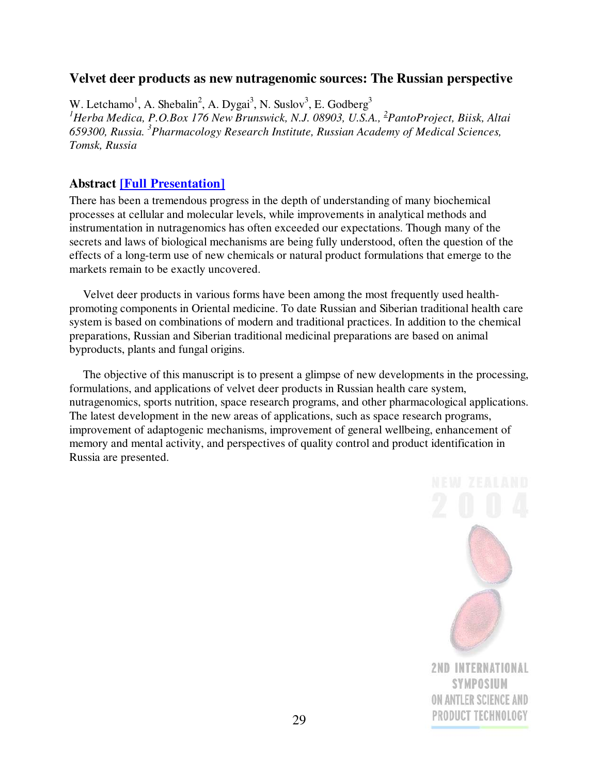#### <span id="page-28-0"></span>**Velvet deer products as new nutragenomic sources: The Russian perspective**

W. Letchamo<sup>1</sup>, A. Shebalin<sup>2</sup>, A. Dygai<sup>3</sup>, N. Suslov<sup>3</sup>, E. Godberg<sup>3</sup> *<sup>1</sup>Herba Medica, P.O.Box 176 New Brunswick, N.J. 08903, U.S.A., <sup>2</sup>PantoProject, Biisk, Altai 659300, Russia. <sup>3</sup>Pharmacology Research Institute, Russian Academy of Medical Sciences, Tomsk, Russia*

#### **Abstract [Full [Presentation\]](Feb-27 Friday/Session 3 (pm)/Letchamo.pdf)**

There has been a tremendous progress in the depth of understanding of many biochemical processes at cellular and molecular levels, while improvements in analytical methods and instrumentation in nutragenomics has often exceeded our expectations. Though many of the secrets and laws of biological mechanisms are being fully understood, often the question of the effects of a long-term use of new chemicals or natural product formulations that emerge to the markets remain to be exactly uncovered.

Velvet deer products in various forms have been among the most frequently used healthpromoting components in Oriental medicine. To date Russian and Siberian traditional health care system is based on combinations of modern and traditional practices. In addition to the chemical preparations, Russian and Siberian traditional medicinal preparations are based on animal byproducts, plants and fungal origins.

The objective of this manuscript is to present a glimpse of new developments in the processing, formulations, and applications of velvet deer products in Russian health care system, nutragenomics, sports nutrition, space research programs, and other pharmacological applications. The latest development in the new areas of applications, such as space research programs, improvement of adaptogenic mechanisms, improvement of general wellbeing, enhancement of memory and mental activity, and perspectives of quality control and product identification in Russia are presented.

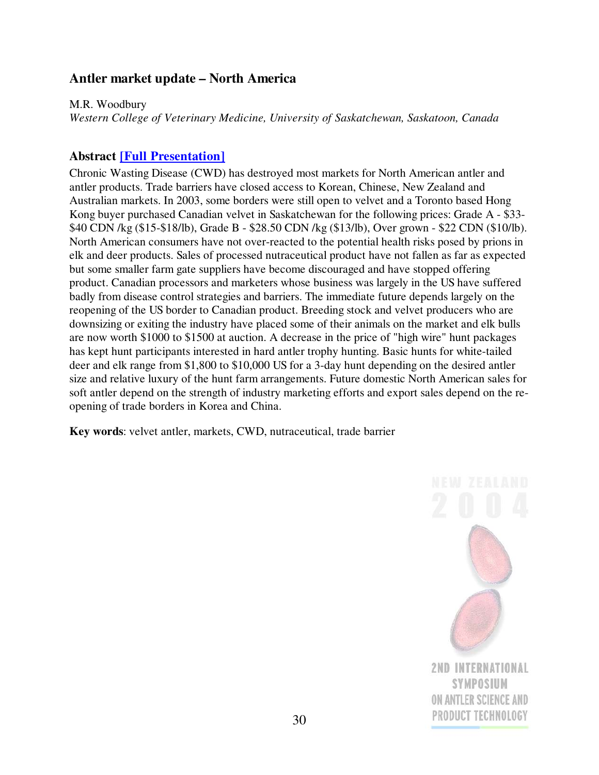### <span id="page-29-0"></span>**Antler market update – North America**

M.R. Woodbury *Western College of Veterinary Medicine, University of Saskatchewan, Saskatoon, Canada*

### **Abstract [Full [Presentation\]](Feb-27 Friday/Session 4 (pm)/Woodbury - Market Update.pdf)**

Chronic Wasting Disease (CWD) has destroyed most markets for North American antler and antler products. Trade barriers have closed access to Korean, Chinese, New Zealand and Australian markets. In 2003, some borders were still open to velvet and a Toronto based Hong Kong buyer purchased Canadian velvet in Saskatchewan for the following prices: Grade A - \$33- \$40 CDN /kg (\$15-\$18/lb), Grade B - \$28.50 CDN /kg (\$13/lb), Over grown - \$22 CDN (\$10/lb). North American consumers have not over-reacted to the potential health risks posed by prions in elk and deer products. Sales of processed nutraceutical product have not fallen as far as expected but some smaller farm gate suppliers have become discouraged and have stopped offering product. Canadian processors and marketers whose business was largely in the US have suffered badly from disease control strategies and barriers. The immediate future depends largely on the reopening of the US border to Canadian product. Breeding stock and velvet producers who are downsizing or exiting the industry have placed some of their animals on the market and elk bulls are now worth \$1000 to \$1500 at auction. A decrease in the price of "high wire" hunt packages has kept hunt participants interested in hard antler trophy hunting. Basic hunts for white-tailed deer and elk range from \$1,800 to \$10,000 US for a 3-day hunt depending on the desired antler size and relative luxury of the hunt farm arrangements. Future domestic North American sales for soft antler depend on the strength of industry marketing efforts and export sales depend on the reopening of trade borders in Korea and China.

**Key words**: velvet antler, markets, CWD, nutraceutical, trade barrier